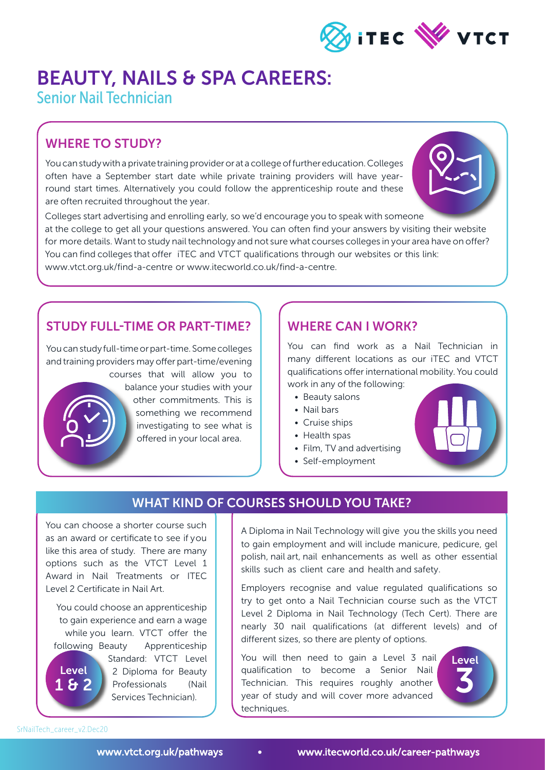

# BEAUTY, NAILS & SPA CAREERS:

Senior Nail Technician

## WHERE TO STUDY?

You can study with a private training provider or at a college of further education. Colleges often have a September start date while private training providers will have yearround start times. Alternatively you could follow the apprenticeship route and these are often recruited throughout the year.



Colleges start advertising and enrolling early, so we'd encourage you to speak with someone at the college to get all your questions answered. You can often find your answers by visiting their website for more details. Want to study nail technology and not sure what courses colleges in your area have on offer? You can find colleges that offer iTEC and VTCT qualifications through our websites or this link: www.vtct.org.uk/find-a-centre or www.itecworld.co.uk/find-a-centre.

#### STUDY FULL-TIME OR PART-TIME?

You can study full-time or part-time. Some colleges and training providers may offer part-time/evening courses that will allow you to balance your studies with your other commitments. This is something we recommend

investigating to see what is

offered in your local area.

#### WHERE CAN I WORK?

You can find work as a Nail Technician in many different locations as our iTEC and VTCT qualifications offer international mobility. You could work in any of the following:

- Beauty salons
- Nail bars
- Cruise ships
- Health spas
- Film, TV and advertising
- Self-employment



## WHAT KIND OF COURSES SHOULD YOU TAKE?

You can choose a shorter course such as an award or certificate to see if you like this area of study. There are many options such as the VTCT Level 1 Award in Nail Treatments or ITEC Level 2 Certificate in Nail Art.

You could choose an apprenticeship to gain experience and earn a wage while you learn. VTCT offer the following Beauty Apprenticeship Standard: VTCT Level 2 Diploma for Beauty Professionals (Nail Services Technician). **Level** 1 & 2

A Diploma in Nail Technology will give you the skills you need to gain employment and will include manicure, pedicure, gel polish, nail art, nail enhancements as well as other essential skills such as client care and health and safety.

Employers recognise and value regulated qualifications so try to get onto a Nail Technician course such as the VTCT Level 2 Diploma in Nail Technology (Tech Cert). There are nearly 30 nail qualifications (at different levels) and of different sizes, so there are plenty of options.

You will then need to gain a Level 3 nail qualification to become a Senior Nail Technician. This requires roughly another year of study and will cover more advanced techniques.



SrNailTech\_career\_v2.Dec20